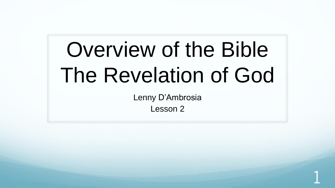# Overview of the Bible The Revelation of God

Lenny D'Ambrosia

Lesson 2

1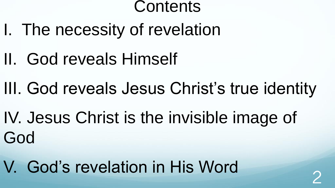#### **Contents**

- I. The necessity of revelation
- II. God reveals Himself
- III. God reveals Jesus Christ's true identity
- IV. Jesus Christ is the invisible image of God
- V. God's revelation in His Word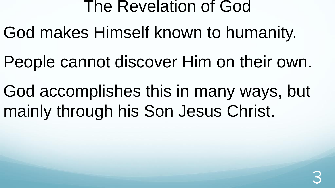- God makes Himself known to humanity.
- People cannot discover Him on their own.
- God accomplishes this in many ways, but mainly through his Son Jesus Christ.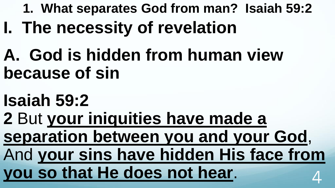- **1. What separates God from man? Isaiah 59:2**
- **I. The necessity of revelation**
- **A. God is hidden from human view because of sin**
- **Isaiah 59:2**
- **2** But **your iniquities have made a separation between you and your God**,
- And **your sins have hidden His face from you so that He does not hear**. 4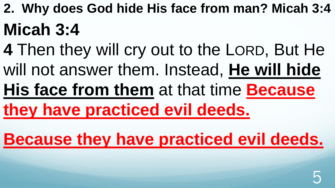- **2. Why does God hide His face from man? Micah 3:4 Micah 3:4**
- **4** Then they will cry out to the LORD, But He will not answer them. Instead, **He will hide**
- **His face from them** at that time **Because**
- **they have practiced evil deeds.**
- **Because they have practiced evil deeds.**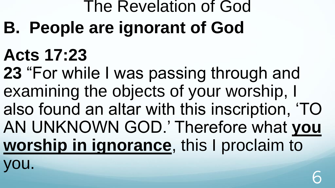# The Revelation of God **B. People are ignorant of God**

## **Acts 17:23**

**23** "For while I was passing through and examining the objects of your worship, I also found an altar with this inscription, 'TO AN UNKNOWN GOD.' Therefore what **you worship in ignorance**, this I proclaim to

you.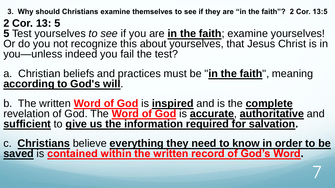**3. Why should Christians examine themselves to see if they are "in the faith"? 2 Cor. 13:5 2 Cor. 13: 5** 

**5** Test yourselves *to see* if you are **in the faith**; examine yourselves! Or do you not recognize this about yourselves, that Jesus Christ is in you—unless indeed you fail the test?

a. Christian beliefs and practices must be "**in the faith**", meaning **according to God's will**.

b. The written **Word of God** is **inspired** and is the **complete** revelation of God. The **Word of God** is **accurate**, **authoritative** and **sufficient** to **give us the information required for salvation.**

c. **Christians** believe **everything they need to know in order to be saved** is **contained within the written record of God's Word.**

7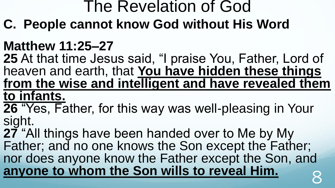**C. People cannot know God without His Word**

#### **Matthew 11:25–27**

**25** At that time Jesus said, "I praise You, Father, Lord of heaven and earth, that **You have hidden these things from the wise and intelligent and have revealed them to infants.**

**26** "Yes, Father, for this way was well-pleasing in Your sight.

**27** "All things have been handed over to Me by My Father; and no one knows the Son except the Father; nor does anyone know the Father except the Son, and anyone to whom the Son wills to reveal Him.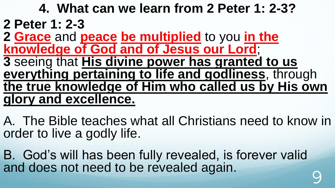#### **4. What can we learn from 2 Peter 1: 2-3? 2 Peter 1: 2-3 2 Grace** and **peace be multiplied** to you **in the knowledge of God and of Jesus our Lord**; **3** seeing that **His divine power has granted to us everything pertaining to life and godliness**, through **the true knowledge of Him who called us by His own glory and excellence.**

A. The Bible teaches what all Christians need to know in order to live a godly life.

B. God's will has been fully revealed, is forever valid and does not need to be revealed again.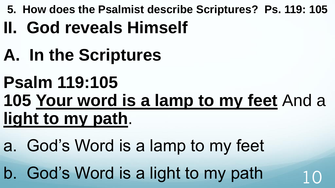- **5. How does the Psalmist describe Scriptures? Ps. 119: 105**
- **II. God reveals Himself**
- **A. In the Scriptures**
- **Psalm 119:105 105 Your word is a lamp to my feet** And a **light to my path**.
- a. God's Word is a lamp to my feet
- b. God's Word is a light to my path  $10$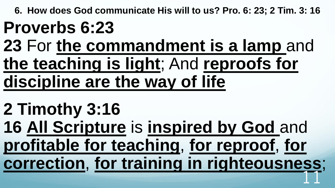**6. How does God communicate His will to us? Pro. 6: 23; 2 Tim. 3: 16**

## **Proverbs 6:23**

**23** For **the commandment is a lamp** and **the teaching is light**; And **reproofs for discipline are the way of life**

### **2 Timothy 3:16**

**16 All Scripture** is **inspired by God** and **profitable for teaching**, **for reproof**, **for correction**, **for training in righteousness**; 11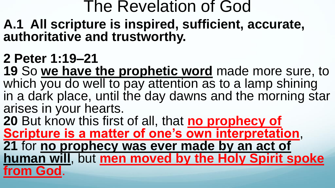- **A.1 All scripture is inspired, sufficient, accurate, authoritative and trustworthy.**
- **2 Peter 1:19–21**
- **19** So **we have the prophetic word** made more sure, to which you do well to pay attention as to a lamp shining in a dark place, until the day dawns and the morning star arises in your hearts.
- **20** But know this first of all, that **no prophecy of Scripture is a matter of one's own interpretation**, **21** for **no prophecy was ever made by an act of human will**, but **men moved by the Holy Spirit spoke from God**.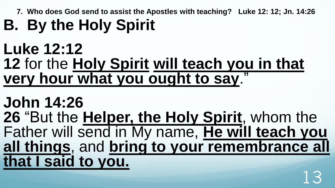**7. Who does God send to assist the Apostles with teaching? Luke 12: 12; Jn. 14:26**

## **B. By the Holy Spirit**

#### **Luke 12:12 12** for the **Holy Spirit will teach you in that very hour what you ought to say**."

#### **John 14:26 26** "But the **Helper, the Holy Spirit**, whom the Father will send in My name, **He will teach you all things**, and **bring to your remembrance all that I said to you.**  13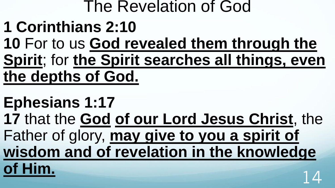## **1 Corinthians 2:10**

**10** For to us **God revealed them through the Spirit**; for **the Spirit searches all things, even the depths of God.**

#### **Ephesians 1:17**

**17** that the **God of our Lord Jesus Christ**, the Father of glory, **may give to you a spirit of wisdom and of revelation in the knowledge of Him.** 14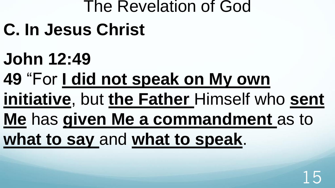- **C. In Jesus Christ**
- **John 12:49**
- **49** "For **I did not speak on My own**
- **initiative**, but **the Father** Himself who **sent**
- **Me** has **given Me a commandment** as to
- **what to say** and **what to speak**.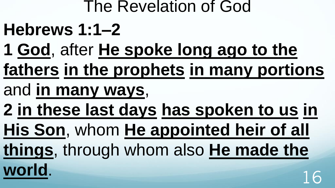- **Hebrews 1:1–2**
- **1 God**, after **He spoke long ago to the**
- **fathers in the prophets in many portions**
- and **in many ways**,
- **2 in these last days has spoken to us in**
- **His Son**, whom **He appointed heir of all**
- **things**, through whom also **He made the**
- **world**. 16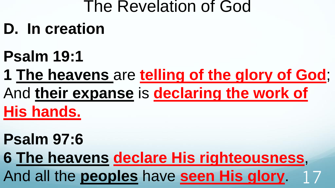## **D. In creation**

## **Psalm 19:1**

### **1 The heavens** are **telling of the glory of God**; And **their expanse** is **declaring the work of His hands.**

### **Psalm 97:6**

**6 The heavens declare His righteousness**, And all the **peoples** have **seen His glory**. 17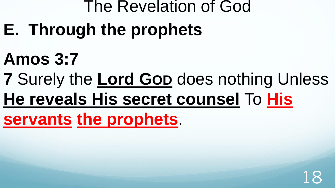- **E. Through the prophets**
- **Amos 3:7**
- **7** Surely the **Lord GOD** does nothing Unless
- **He reveals His secret counsel** To **His**

**servants the prophets**.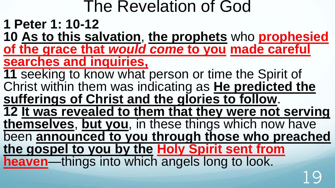- **1 Peter 1: 10-12**
- **10 As to this salvation**, **the prophets** who **prophesied of the grace that** *would come* **to you made careful searches and inquiries,**
- **11** seeking to know what person or time the Spirit of Christ within them was indicating as **He predicted the sufferings of Christ and the glories to follow**.
- **12 It was revealed to them that they were not serving**
- **themselves**, **but you**, in these things which now have been **announced to you through those who preached**
- **the gospel to you by the Holy Spirit sent from heaven**—things into which angels long to look.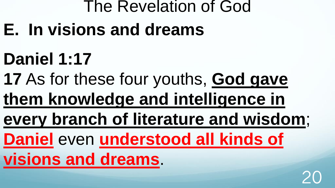- **E. In visions and dreams**
- **Daniel 1:17**
- **17** As for these four youths, **God gave**
- **them knowledge and intelligence in**
- **every branch of literature and wisdom**;
- **Daniel** even **understood all kinds of**
- **visions and dreams**.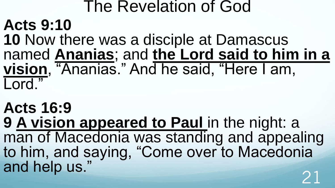#### The Revelation of God **Acts 9:10 10** Now there was a disciple at Damascus named **Ananias**; and **the Lord said to him in a vision**, "Ananias." And he said, "Here I am, Lord."

**Acts 16:9 9 A vision appeared to Paul** in the night: a man of Macedonia was standing and appealing to him, and saying, "Come over to Macedonia and help us."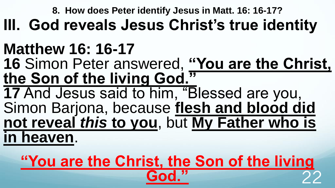**8. How does Peter identify Jesus in Matt. 16: 16-17?**

### **III. God reveals Jesus Christ's true identity**

## **Matthew 16: 16-17**

**16** Simon Peter answered, **"You are the Christ, the Son of the living God."**

**17** And Jesus said to him, "Blessed are you, Simon Barjona, because **flesh and blood did not reveal** *this* **to you**, but **My Father who is in heaven**.

### **"You are the Christ, the Son of the living God."** 22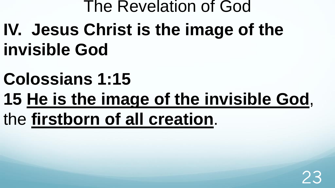## The Revelation of God **IV. Jesus Christ is the image of the invisible God**

- **Colossians 1:15**
- **15 He is the image of the invisible God**,
- the **firstborn of all creation**.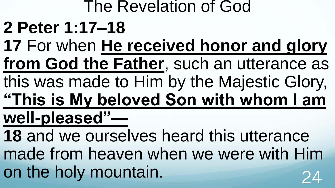## The Revelation of God **2 Peter 1:17–18 17** For when **He received honor and glory from God the Father**, such an utterance as this was made to Him by the Majestic Glory, **"This is My beloved Son with whom I am well-pleased"—**

**18** and we ourselves heard this utterance made from heaven when we were with Him on the holy mountain.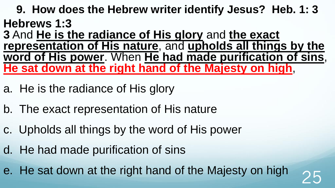**9. How does the Hebrew writer identify Jesus? Heb. 1: 3 Hebrews 1:3** 

**3** And **He is the radiance of His glory** and **the exact representation of His nature**, and **upholds all things by the word of His power**. When **He had made purification of sins**, **He sat down at the right hand of the Majesty on high**,

- a. He is the radiance of His glory
- b. The exact representation of His nature
- c. Upholds all things by the word of His power
- d. He had made purification of sins

e. He sat down at the right hand of the Majesty on high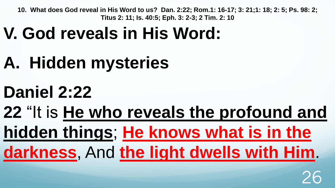## **V. God reveals in His Word:**

- **A. Hidden mysteries**
- **Daniel 2:22**

## **22** "It is **He who reveals the profound and hidden things**; **He knows what is in the darkness**, And **the light dwells with Him**.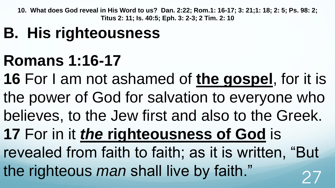## **B. His righteousness**

### **Romans 1:16-17**

- **16** For I am not ashamed of **the gospel**, for it is
- the power of God for salvation to everyone who
- believes, to the Jew first and also to the Greek.
- **17** For in it *the* **righteousness of God** is
- revealed from faith to faith; as it is written, "But the righteous *man* shall live by faith."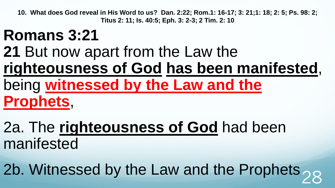## **Romans 3:21**

**21** But now apart from the Law the **righteousness of God has been manifested**, being **witnessed by the Law and the Prophets**,

2a. The **righteousness of God** had been manifested

2b. Witnessed by the Law and the Prophets  $28$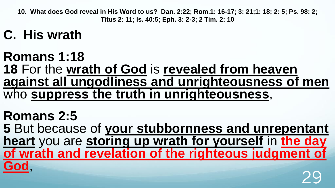#### **C. His wrath**

**Romans 1:18 18** For the **wrath of God** is **revealed from heaven against all ungodliness and unrighteousness of men** who **suppress the truth in unrighteousness**,

**Romans 2:5 5** But because of **your stubbornness and unrepentant heart** you are **storing up wrath for yourself** in **the day of wrath and revelation of the righteous judgment of God**, 29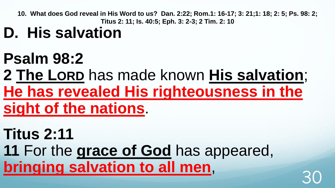## **D. His salvation**

## **Psalm 98:2**

#### **2 The LORD** has made known **His salvation**; **He has revealed His righteousness in the sight of the nations**.

**Titus 2:11 11** For the **grace of God** has appeared, **bringing salvation to all men,**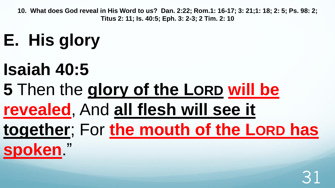## **E. His glory**

## **Isaiah 40:5**

**5** Then the **glory of the LORD will be revealed**, And **all flesh will see it together**; For **the mouth of the LORD has spoken**."

## 31